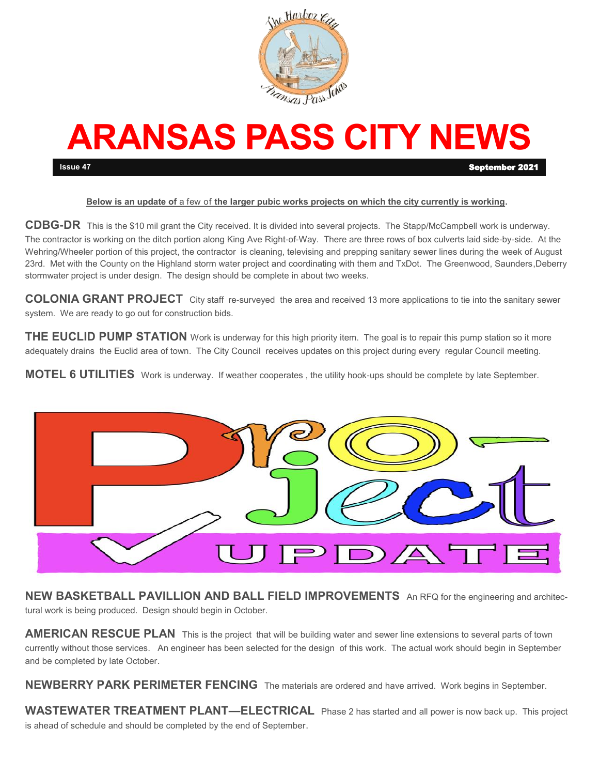

# **ARANSAS PASS CITY NEWS Issue 47** September 2021

#### **Below is an update of** a few of **the larger pubic works projects on which the city currently is working.**

**CDBG-DR** This is the \$10 mil grant the City received. It is divided into several projects. The Stapp/McCampbell work is underway. The contractor is working on the ditch portion along King Ave Right-of-Way. There are three rows of box culverts laid side-by-side. At the Wehring/Wheeler portion of this project, the contractor is cleaning, televising and prepping sanitary sewer lines during the week of August 23rd. Met with the County on the Highland storm water project and coordinating with them and TxDot. The Greenwood, Saunders,Deberry stormwater project is under design. The design should be complete in about two weeks.

**COLONIA GRANT PROJECT** City staff re-surveyed the area and received 13 more applications to tie into the sanitary sewer system. We are ready to go out for construction bids.

THE EUCLID PUMP STATION Work is underway for this high priority item. The goal is to repair this pump station so it more adequately drains the Euclid area of town. The City Council receives updates on this project during every regular Council meeting.

**MOTEL 6 UTILITIES** Work is underway. If weather cooperates , the utility hook-ups should be complete by late September.



**NEW BASKETBALL PAVILLION AND BALL FIELD IMPROVEMENTS** An RFQ for the engineering and architectural work is being produced. Design should begin in October.

**AMERICAN RESCUE PLAN** This is the project that will be building water and sewer line extensions to several parts of town currently without those services. An engineer has been selected for the design of this work. The actual work should begin in September and be completed by late October.

**NEWBERRY PARK PERIMETER FENCING** The materials are ordered and have arrived. Work begins in September.

**WASTEWATER TREATMENT PLANT—ELECTRICAL** Phase 2 has started and all power is now back up. This project is ahead of schedule and should be completed by the end of September.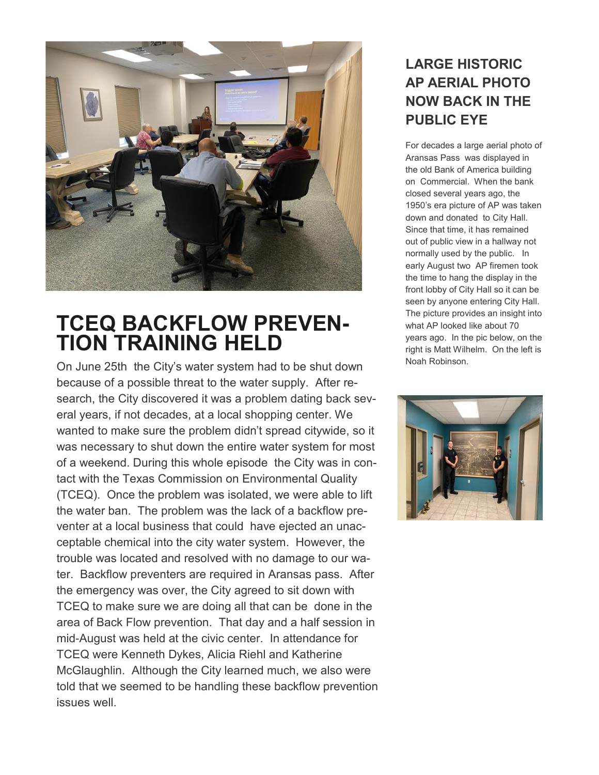

## **TCEQ BACKFLOW PREVEN-TION TRAINING HELD**

On June 25th the City's water system had to be shut down because of a possible threat to the water supply. After research, the City discovered it was a problem dating back several years, if not decades, at a local shopping center. We wanted to make sure the problem didn't spread citywide, so it was necessary to shut down the entire water system for most of a weekend. During this whole episode the City was in contact with the Texas Commission on Environmental Quality (TCEQ). Once the problem was isolated, we were able to lift the water ban. The problem was the lack of a backflow preventer at a local business that could have ejected an unacceptable chemical into the city water system. However, the trouble was located and resolved with no damage to our water. Backflow preventers are required in Aransas pass. After the emergency was over, the City agreed to sit down with TCEQ to make sure we are doing all that can be done in the area of Back Flow prevention. That day and a half session in mid-August was held at the civic center. In attendance for TCEQ were Kenneth Dykes, Alicia Riehl and Katherine McGlaughlin. Although the City learned much, we also were told that we seemed to be handling these backflow prevention issues well.

#### **LARGE HISTORIC AP AERIAL PHOTO NOW BACK IN THE PUBLIC EYE**

For decades a large aerial photo of Aransas Pass was displayed in the old Bank of America building on Commercial. When the bank closed several years ago, the 1950's era picture of AP was taken down and donated to City Hall. Since that time, it has remained out of public view in a hallway not normally used by the public. In early August two AP firemen took the time to hang the display in the front lobby of City Hall so it can be seen by anyone entering City Hall. The picture provides an insight into what AP looked like about 70 years ago. In the pic below, on the right is Matt Wilhelm. On the left is Noah Robinson.

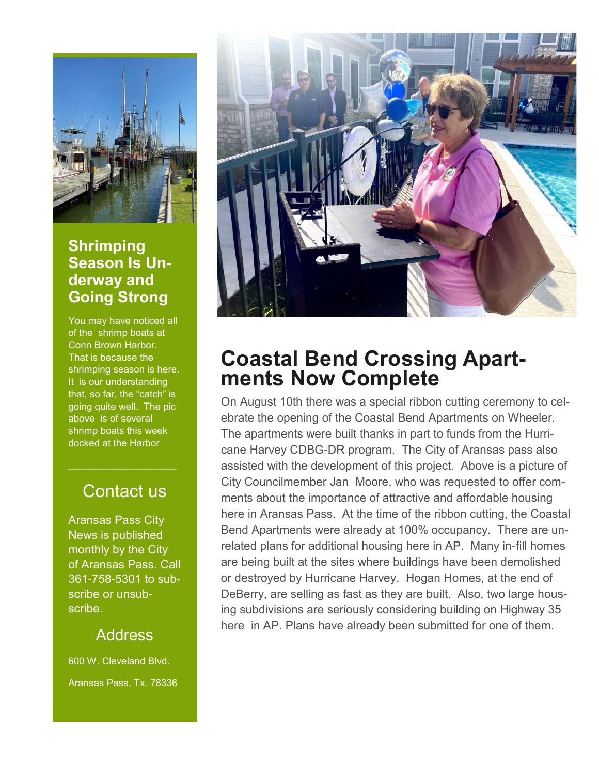

#### **Shrimping Season Is Underway and Going Strong**

You may have noticed all of the shrimp boats at Conn Brown Harbor. That is because the shrimping season is here. It is our understanding that, so far, the "catch" is going quite well. The pic above is of several shrimp boats this week docked at the Harbor

### Contact us

 $\mathcal{L}_\text{max}$  , where  $\mathcal{L}_\text{max}$  , we have the set of  $\mathcal{L}_\text{max}$ 

Aransas Pass City News is published monthly by the City of Aransas Pass. Call 361-758-5301 to subscribe or unsubscribe.

#### **Address**

600 W. Cleveland Blvd. Aransas Pass, Tx. 78336



### **Coastal Bend Crossing Apartments Now Complete**

On August 10th there was a special ribbon cutting ceremony to celebrate the opening of the Coastal Bend Apartments on Wheeler. The apartments were built thanks in part to funds from the Hurricane Harvey CDBG-DR program. The City of Aransas pass also assisted with the development of this project. Above is a picture of City Councilmember Jan Moore, who was requested to offer comments about the importance of attractive and affordable housing here in Aransas Pass. At the time of the ribbon cutting, the Coastal Bend Apartments were already at 100% occupancy. There are unrelated plans for additional housing here in AP. Many in-fill homes are being built at the sites where buildings have been demolished or destroyed by Hurricane Harvey. Hogan Homes, at the end of DeBerry, are selling as fast as they are built. Also, two large housing subdivisions are seriously considering building on Highway 35 here in AP. Plans have already been submitted for one of them.